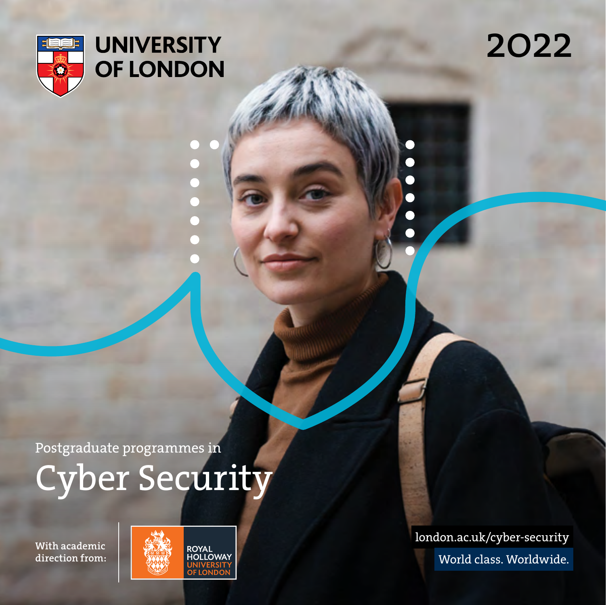

**UNIVERSITY** OF LONDON

ē

2022

Postgraduate programmes in Cyber Security

With academic direction from:



london.ac.uk/cyber-security World class. Worldwide.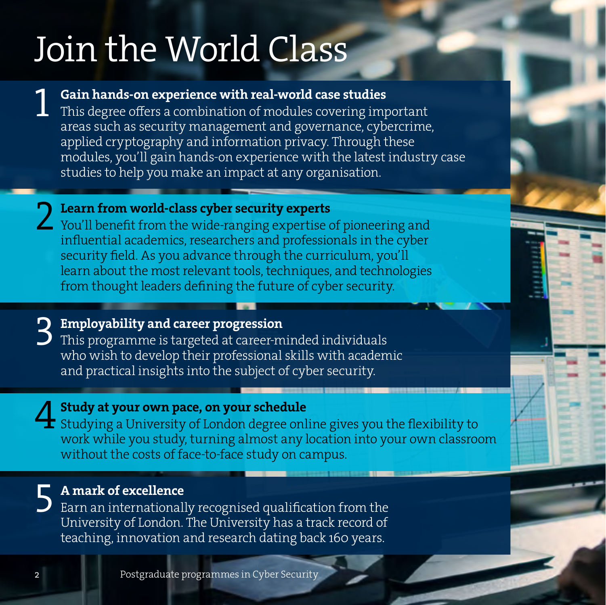## Join the World Class

Gain hands-on experience with real-world case studies **Gain hands-on experience with real-world case studies**<br>This degree offers a combination of modules covering important<br>axess guch as sequrity management and governance *sybergime* areas such as security management and governance, cybercrime, applied cryptography and information privacy. Through these modules, you'll gain hands-on experience with the latest industry case studies to help you make an impact at any organisation.

#### Learn from world-class cyber security experts

2 Learn from world-class cyber security experts<br>
You'll benefit from the wide-ranging expertise of pioneering and<br>
influential asademise, researchers and prefessionals in the system influential academics, researchers and professionals in the cyber security field. As you advance through the curriculum, you'll learn about the most relevant tools, techniques, and technologies from thought leaders defining the future of cyber security.

**3** Employability and career progression<br>This programme is targeted at career-m This programme is targeted at career-minded individuals who wish to develop their professional skills with academic and practical insights into the subject of cyber security.

#### Study at your own pace, on your schedule

**4 Study at your own pace, on your schedule**<br>Studying a University of London degree online gives you the flexibility to<br>work while you study turning almost any leastion into your own alasance work while you study, turning almost any location into your own classroom without the costs of face-to-face study on campus.

5 A mark of excellence Earn an internationally recognised qualification from the University of London. The University has a track record of teaching, innovation and research dating back 160 years.

2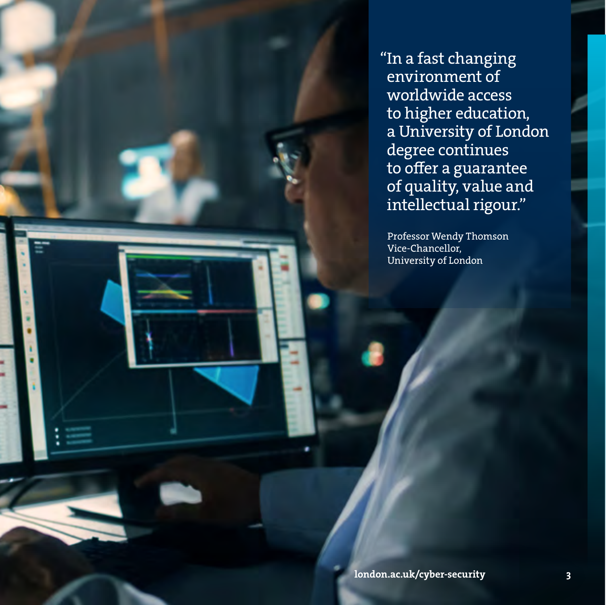"In a fast changing environment of worldwide access to higher education, a University of London degree continues to offer a guarantee of quality, value and intellectual rigour."

 Professor Wendy Thomson Vice-Chancellor, University of London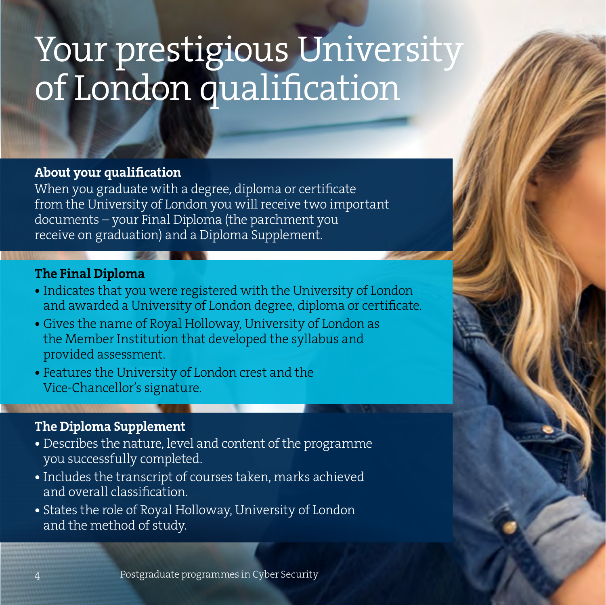### Your prestigious University of London qualification

#### About your qualification

When you graduate with a degree, diploma or certificate from the University of London you will receive two important documents – your Final Diploma (the parchment you receive on graduation) and a Diploma Supplement.

#### The Final Diploma

- Indicates that you were registered with the University of London and awarded a University of London degree, diploma or certificate.
- Gives the name of Royal Holloway, University of London as the Member Institution that developed the syllabus and provided assessment.
- Features the University of London crest and the Vice-Chancellor's signature.

#### The Diploma Supplement

- Describes the nature, level and content of the programme you successfully completed.
- Includes the transcript of courses taken, marks achieved and overall classification.
- States the role of Royal Holloway, University of London and the method of study.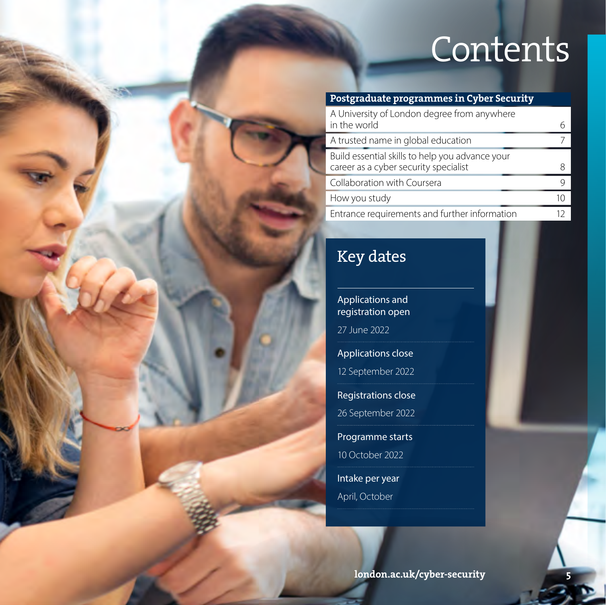### **Contents**

#### Postgraduate programmes in Cyber Security

| A University of London degree from anywhere<br>in the world                              |  |
|------------------------------------------------------------------------------------------|--|
| A trusted name in global education                                                       |  |
| Build essential skills to help you advance your<br>career as a cyber security specialist |  |
| Collaboration with Coursera                                                              |  |
| How you study                                                                            |  |
| Entrance requirements and further information                                            |  |

### Key dates

Applications and registration open

27 June 2022

Applications close

12 September 2022

Registrations close

26 September 2022

Programme starts 10 October 2022

Intake per year April, October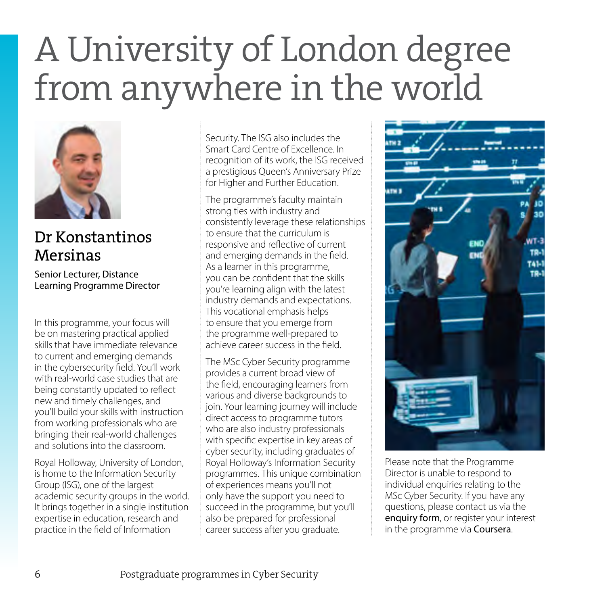### <span id="page-5-0"></span>A University of London degree from anywhere in the world



### Dr Konstantinos Mersinas

Senior Lecturer, Distance Learning Programme Director

In this programme, your focus will be on mastering practical applied skills that have immediate relevance to current and emerging demands in the cybersecurity field. You'll work with real-world case studies that are being constantly updated to reflect new and timely challenges, and you'll build your skills with instruction from working professionals who are bringing their real-world challenges and solutions into the classroom.

Royal Holloway, University of London, is home to the Information Security Group (ISG), one of the largest academic security groups in the world. It brings together in a single institution expertise in education, research and practice in the field of Information

Security. The ISG also includes the Smart Card Centre of Excellence. In recognition of its work, the ISG received a prestigious Queen's Anniversary Prize for Higher and Further Education.

The programme's faculty maintain strong ties with industry and consistently leverage these relationships to ensure that the curriculum is responsive and reflective of current and emerging demands in the field. As a learner in this programme, you can be confident that the skills you're learning align with the latest industry demands and expectations. This vocational emphasis helps to ensure that you emerge from the programme well-prepared to achieve career success in the field.

The MSc Cyber Security programme provides a current broad view of the field, encouraging learners from various and diverse backgrounds to join. Your learning journey will include direct access to programme tutors who are also industry professionals with specific expertise in key areas of cyber security, including graduates of Royal Holloway's Information Security programmes. This unique combination of experiences means you'll not only have the support you need to succeed in the programme, but you'll also be prepared for professional career success after you graduate.



Please note that the Programme Director is unable to respond to individual enquiries relating to the MSc Cyber Security. If you have any questions, please contact us via the [enquiry form](https://sid.london.ac.uk/sid/login/newuserform.aspx?CourseCode=PMS-CYSEC-LN), or register your interest in the programme via **[Coursera](https://www.coursera.org/degrees/msc-cyber-security-london)**.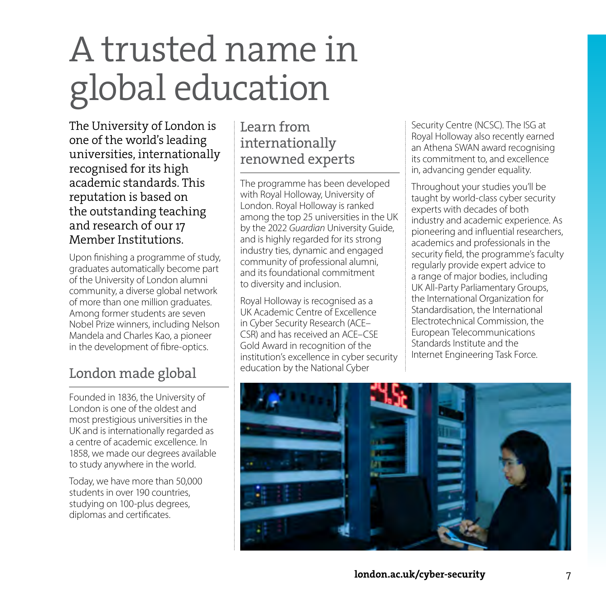## <span id="page-6-0"></span>A trusted name in global education

The University of London is one of the world's leading universities, internationally recognised for its high academic standards. This reputation is based on the outstanding teaching and research of our 17 Member Institutions.

Upon finishing a programme of study, graduates automatically become part of the University of London alumni community, a diverse global network of more than one million graduates. Among former students are seven Nobel Prize winners, including Nelson Mandela and Charles Kao, a pioneer in the development of fibre-optics.

#### London made global

Founded in 1836, the University of London is one of the oldest and most prestigious universities in the UK and is internationally regarded as a centre of academic excellence. In 1858, we made our degrees available to study anywhere in the world.

Today, we have more than 50,000 students in over 190 countries, studying on 100-plus degrees, diplomas and certificates.

#### Learn from internationally renowned experts

The programme has been developed with Royal Holloway, University of London. Royal Holloway is ranked among the top 25 universities in the UK by the 2022 *Guardian* University Guide, and is highly regarded for its strong industry ties, dynamic and engaged community of professional alumni, and its foundational commitment to diversity and inclusion.

Royal Holloway is recognised as a UK Academic Centre of Excellence in Cyber Security Research (ACE– CSR) and has received an ACE–CSE Gold Award in recognition of the institution's excellence in cyber security education by the National Cyber

Security Centre (NCSC). The ISG at Royal Holloway also recently earned an Athena SWAN award recognising its commitment to, and excellence in, advancing gender equality.

Throughout your studies you'll be taught by world-class cyber security experts with decades of both industry and academic experience. As pioneering and influential researchers, academics and professionals in the security field, the programme's faculty regularly provide expert advice to a range of major bodies, including UK All-Party Parliamentary Groups, the International Organization for Standardisation, the International Electrotechnical Commission, the European Telecommunications Standards Institute and the Internet Engineering Task Force.

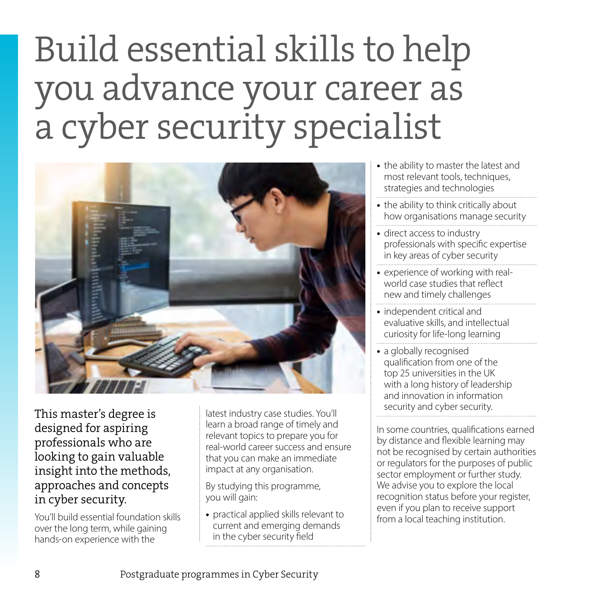### Build essential skills to help you advance your career as a cyber security specialist



This master's degree is designed for aspiring professionals who are looking to gain valuable insight into the methods, approaches and concepts in cyber security.

You'll build essential foundation skills over the long term, while gaining hands-on experience with the

latest industry case studies. You'll learn a broad range of timely and relevant topics to prepare you for real-world career success and ensure that you can make an immediate impact at any organisation.

By studying this programme, you will gain:

**•** practical applied skills relevant to current and emerging demands in the cyber security field

- **•** the ability to master the latest and most relevant tools, techniques, strategies and technologies
- the ability to think critically about how organisations manage security
- **•** direct access to industry professionals with specific expertise in key areas of cyber security
- **•** experience of working with realworld case studies that reflect new and timely challenges
- **•** independent critical and evaluative skills, and intellectual curiosity for life-long learning
- **•** a globally recognised qualification from one of the top 25 universities in the UK with a long history of leadership and innovation in information security and cyber security.

In some countries, qualifications earned by distance and flexible learning may not be recognised by certain authorities or regulators for the purposes of public sector employment or further study. We advise you to explore the local recognition status before your register, even if you plan to receive support from a local teaching institution.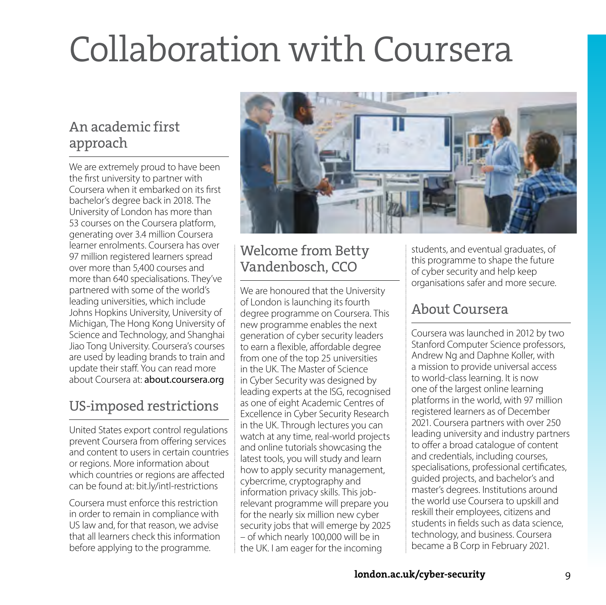# Collaboration with Coursera

#### An academic first approach

We are extremely proud to have been the first university to partner with Coursera when it embarked on its first bachelor's degree back in 2018. The University of London has more than 53 courses on the Coursera platform, generating over 3.4 million Coursera learner enrolments. Coursera has over 97 million registered learners spread over more than 5,400 courses and more than 640 specialisations. They've partnered with some of the world's leading universities, which include Johns Hopkins University, University of Michigan, The Hong Kong University of Science and Technology, and Shanghai Jiao Tong University. Coursera's courses are used by leading brands to train and update their staff. You can read more about Coursera at: [about.coursera.org](https://about.coursera.org/)

#### US-imposed restrictions

United States export control regulations prevent Coursera from offering services and content to users in certain countries or regions. More information about which countries or regions are affected can be found at: bit.ly/intl-restrictions

Coursera must enforce this restriction in order to remain in compliance with US law and, for that reason, we advise that all learners check this information before applying to the programme.



#### Welcome from Betty Vandenbosch, CCO

We are honoured that the University of London is launching its fourth degree programme on Coursera. This new programme enables the next generation of cyber security leaders to earn a flexible, affordable degree from one of the top 25 universities in the UK. The Master of Science in Cyber Security was designed by leading experts at the ISG, recognised as one of eight Academic Centres of Excellence in Cyber Security Research in the UK. Through lectures you can watch at any time, real-world projects and online tutorials showcasing the latest tools, you will study and learn how to apply security management, cybercrime, cryptography and information privacy skills. This jobrelevant programme will prepare you for the nearly six million new cyber security jobs that will emerge by 2025 – of which nearly 100,000 will be in the UK. I am eager for the incoming

students, and eventual graduates, of this programme to shape the future of cyber security and help keep organisations safer and more secure.

#### About Coursera

Coursera was launched in 2012 by two Stanford Computer Science professors, Andrew Ng and Daphne Koller, with a mission to provide universal access to world-class learning. It is now one of the largest online learning platforms in the world, with 97 million registered learners as of December 2021. Coursera partners with over 250 leading university and industry partners to offer a broad catalogue of content and credentials, including courses, specialisations, professional certificates, guided projects, and bachelor's and master's degrees. Institutions around the world use Coursera to upskill and reskill their employees, citizens and students in fields such as data science, technology, and business. Coursera became a B Corp in February 2021.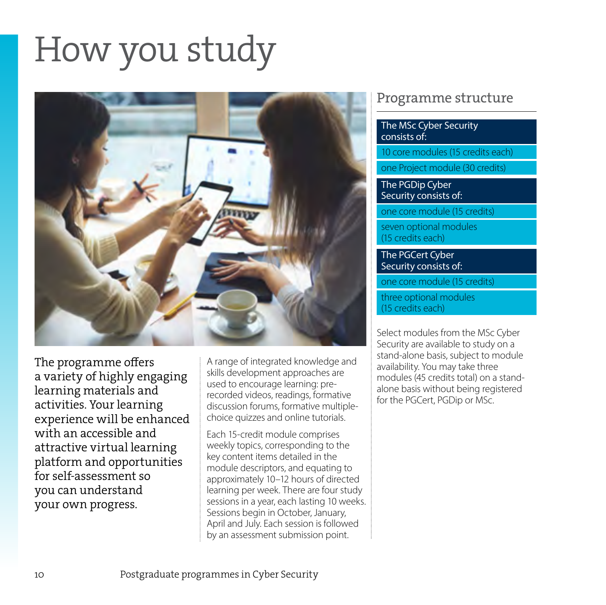### <span id="page-9-0"></span>How you study



The programme offers a variety of highly engaging learning materials and activities. Your learning experience will be enhanced with an accessible and attractive virtual learning platform and opportunities for self-assessment so you can understand your own progress.

A range of integrated knowledge and skills development approaches are used to encourage learning: prerecorded videos, readings, formative discussion forums, formative multiplechoice quizzes and online tutorials.

Each 15-credit module comprises weekly topics, corresponding to the key content items detailed in the module descriptors, and equating to approximately 10–12 hours of directed learning per week. There are four study sessions in a year, each lasting 10 weeks. Sessions begin in October, January, April and July. Each session is followed by an assessment submission point.

#### Programme structure

- The MSc Cyber Security consists of:
- 10 core modules (15 credits each)

one Project module (30 credits)

The PGDip Cyber Security consists of:

one core module (15 credits)

seven optional modules (15 credits each)

The PGCert Cyber Security consists of:

one core module (15 credits)

three optional modules (15 credits each)

Select modules from the MSc Cyber Security are available to study on a stand-alone basis, subject to module availability. You may take three modules (45 credits total) on a standalone basis without being registered for the PGCert, PGDip or MSc.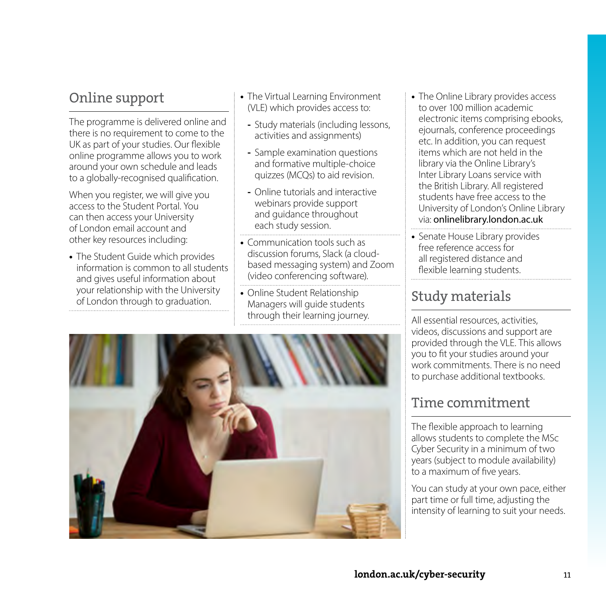#### Online support

The programme is delivered online and there is no requirement to come to the UK as part of your studies. Our flexible online programme allows you to work around your own schedule and leads to a globally-recognised qualification.

When you register, we will give you access to the Student Portal. You can then access your University of London email account and other key resources including:

**•** The Student Guide which provides information is common to all students and gives useful information about your relationship with the University of London through to graduation.

- **•** The Virtual Learning Environment (VLE) which provides access to:
	- **-** Study materials (including lessons, activities and assignments)
	- **-** Sample examination questions and formative multiple-choice quizzes (MCQs) to aid revision.
	- **-** Online tutorials and interactive webinars provide support and guidance throughout each study session.
- **•** Communication tools such as discussion forums, Slack (a cloudbased messaging system) and Zoom (video conferencing software).
- **•** Online Student Relationship Managers will guide students through their learning journey.



- **•** The Online Library provides access to over 100 million academic electronic items comprising ebooks, ejournals, conference proceedings etc. In addition, you can request items which are not held in the library via the Online Library's Inter Library Loans service with the British Library. All registered students have free access to the University of London's Online Library via: [onlinelibrary.london.ac.uk](https://onlinelibrary.london.ac.uk/)
- **•** Senate House Library provides free reference access for all registered distance and flexible learning students.

#### Study materials

All essential resources, activities, videos, discussions and support are provided through the VLE. This allows you to fit your studies around your work commitments. There is no need to purchase additional textbooks.

#### Time commitment

The flexible approach to learning allows students to complete the MSc Cyber Security in a minimum of two years (subject to module availability) to a maximum of five years.

You can study at your own pace, either part time or full time, adjusting the intensity of learning to suit your needs.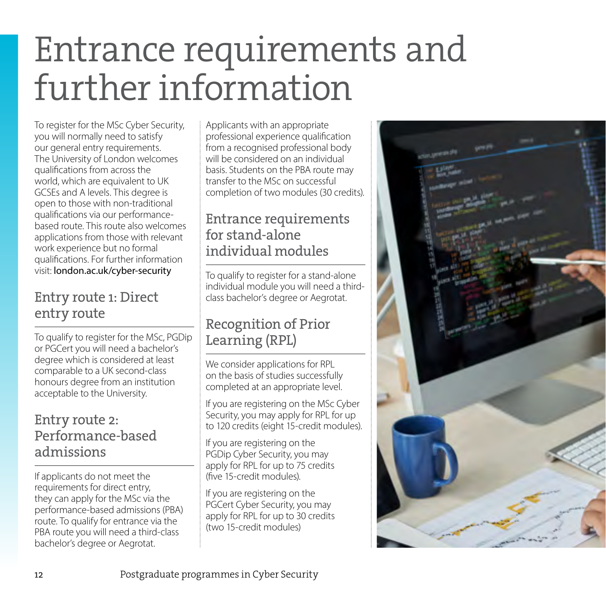### Entrance requirements and further information

To register for the MSc Cyber Security, you will normally need to satisfy our general entry requirements. The University of London welcomes qualifications from across the world, which are equivalent to UK GCSEs and A levels. This degree is open to those with non-traditional qualifications via our performancebased route. This route also welcomes applications from those with relevant work experience but no formal qualifications. For further information visit: london.ac.uk/cyber-security

#### Entry route 1: Direct entry route

To qualify to register for the MSc, PGDip or PGCert you will need a bachelor's degree which is considered at least comparable to a UK second-class honours degree from an institution acceptable to the University.

#### Entry route 2: Performance-based admissions

If applicants do not meet the requirements for direct entry, they can apply for the MSc via the performance-based admissions (PBA) route. To qualify for entrance via the PBA route you will need a third-class bachelor's degree or Aegrotat.

Applicants with an appropriate professional experience qualification from a recognised professional body will be considered on an individual basis. Students on the PBA route may transfer to the MSc on successful completion of two modules (30 credits).

#### Entrance requirements for stand-alone individual modules

To qualify to register for a stand-alone individual module you will need a thirdclass bachelor's degree or Aegrotat.

#### Recognition of Prior Learning (RPL)

We consider applications for RPL on the basis of studies successfully completed at an appropriate level.

If you are registering on the MSc Cyber Security, you may apply for RPL for up to 120 credits (eight 15-credit modules).

If you are registering on the PGDip Cyber Security, you may apply for RPL for up to 75 credits (five 15-credit modules).

If you are registering on the PGCert Cyber Security, you may apply for RPL for up to 30 credits (two 15-credit modules)

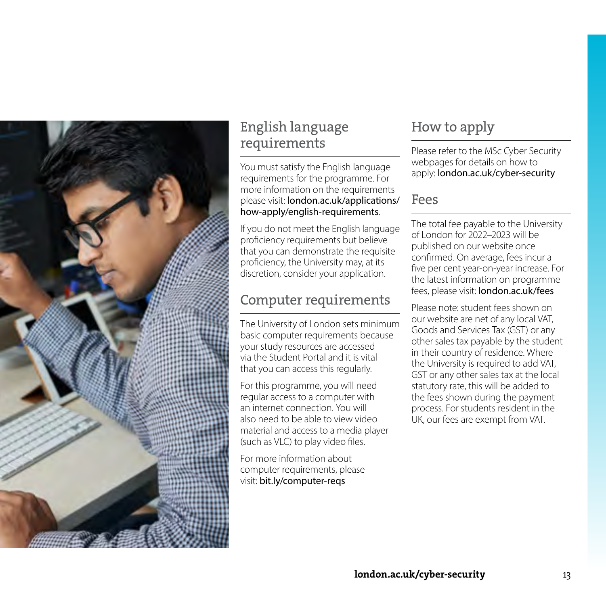

#### English language requirements

You must satisfy the English language requirements for the programme. For more information on the requirements please visit: [london.ac.uk/applications/](https://london.ac.uk/applications/how-apply/english-requirements) [how-apply/english-requirements](https://london.ac.uk/applications/how-apply/english-requirements).

If you do not meet the English language proficiency requirements but believe that you can demonstrate the requisite proficiency, the University may, at its discretion, consider your application.

#### Computer requirements

The University of London sets minimum basic computer requirements because your study resources are accessed via the Student Portal and it is vital that you can access this regularly.

For this programme, you will need regular access to a computer with an internet connection. You will also need to be able to view video material and access to a media player (such as VLC) to play video files.

For more information about computer requirements, please visit: [bit.ly/computer-reqs](https://london.ac.uk/applications/how-apply/computer-requirements)

#### How to apply

Please refer to the MSc Cyber Security webpages for details on how to apply: [london.ac.uk/cyber-security](https://london.ac.uk/courses/cyber-security)

#### Fees

The total fee payable to the University of London for 2022–2023 will be published on our website once confirmed. On average, fees incur a five per cent year-on-year increase. For the latest information on programme fees, please visit: [london.ac.uk/fees](https://london.ac.uk/applications/costs-your-course/course-fees)

Please note: student fees shown on our website are net of any local VAT, Goods and Services Tax (GST) or any other sales tax payable by the student in their country of residence. Where the University is required to add VAT, GST or any other sales tax at the local statutory rate, this will be added to the fees shown during the payment process. For students resident in the UK, our fees are exempt from VAT.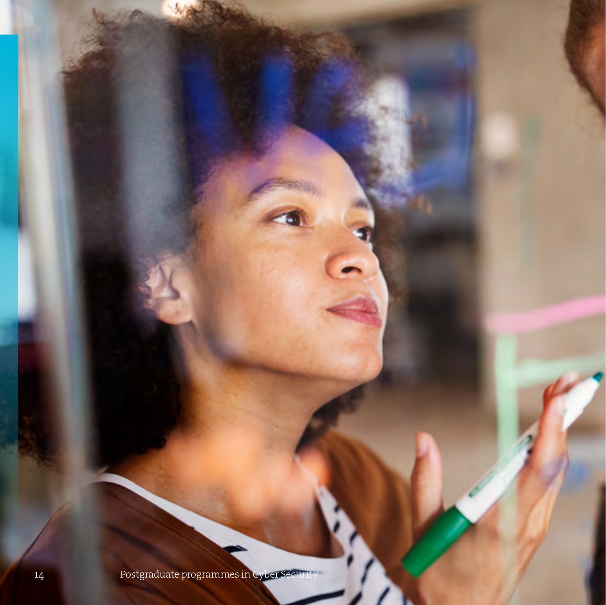<span id="page-13-0"></span>Postgraduate programmes in Cyber Security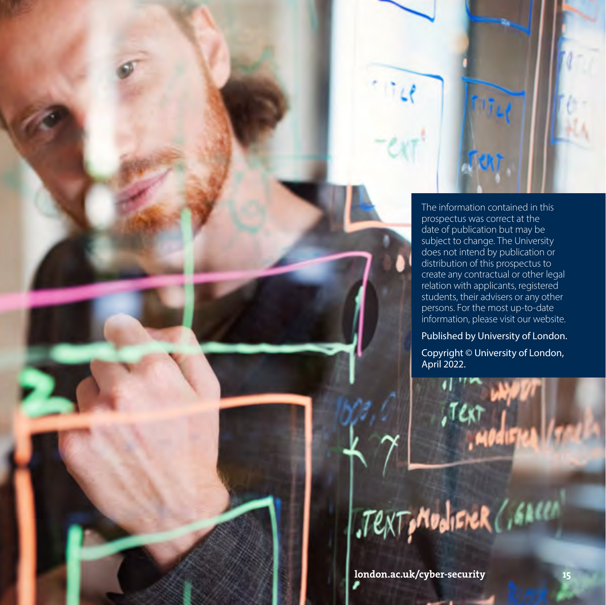The information contained in this prospectus was correct at the date of publication but may be subject to change. The University does not intend by publication or distribution of this prospectus to create any contractual or other legal relation with applicants, registered students, their advisers or any other persons. For the most up-to-date information, please visit our website.

#### Published by University of London.

Copyright © University of London, April 2022.

london.ac.uk/cyber-security 15

JEXT, MODIFIER ( SALL!